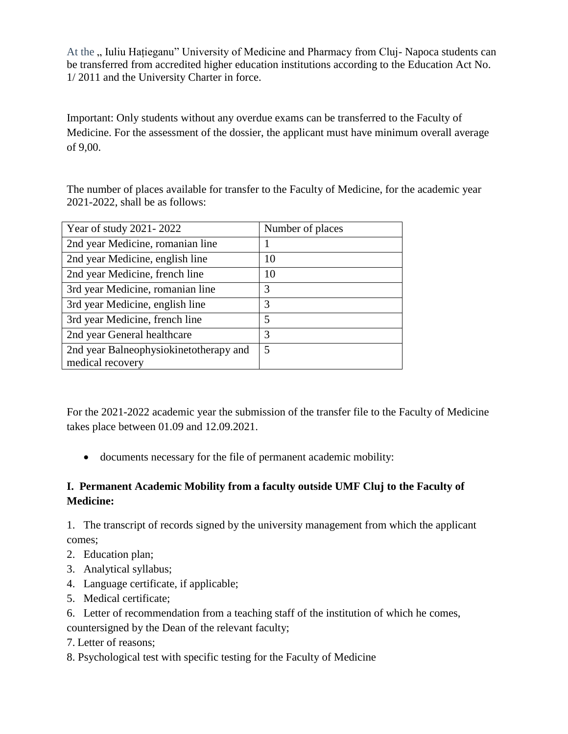At the " Iuliu Hațieganu" University of Medicine and Pharmacy from Cluj- Napoca students can be transferred from accredited higher education institutions according to the Education Act No. 1/ 2011 and the University Charter in force.

Important: Only students without any overdue exams can be transferred to the Faculty of Medicine. For the assessment of the dossier, the applicant must have minimum overall average of 9,00.

The number of places available for transfer to the Faculty of Medicine, for the academic year 2021-2022, shall be as follows:

| Year of study 2021-2022                | Number of places |
|----------------------------------------|------------------|
| 2nd year Medicine, romanian line       |                  |
| 2nd year Medicine, english line        | 10               |
| 2nd year Medicine, french line         | 10               |
| 3rd year Medicine, romanian line       | 3                |
| 3rd year Medicine, english line        | 3                |
| 3rd year Medicine, french line         | 5                |
| 2nd year General healthcare            | 3                |
| 2nd year Balneophysiokinetotherapy and | 5                |
| medical recovery                       |                  |

For the 2021-2022 academic year the submission of the transfer file to the Faculty of Medicine takes place between 01.09 and 12.09.2021.

documents necessary for the file of permanent academic mobility:

## **I. Permanent Academic Mobility from a faculty outside UMF Cluj to the Faculty of Medicine:**

1. The transcript of records signed by the university management from which the applicant comes;

- 2. Education plan;
- 3. Analytical syllabus;
- 4. Language certificate, if applicable;
- 5. Medical certificate;
- 6. Letter of recommendation from a teaching staff of the institution of which he comes,

countersigned by the Dean of the relevant faculty;

- 7. Letter of reasons;
- 8. Psychological test with specific testing for the Faculty of Medicine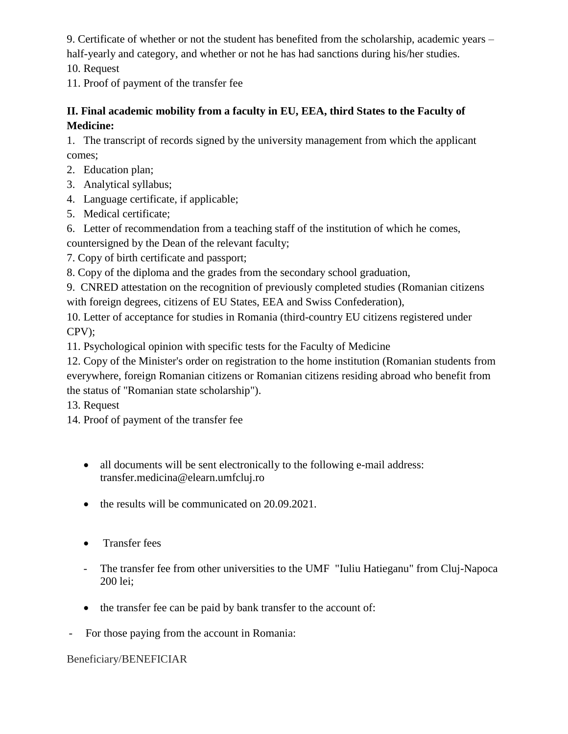9. Certificate of whether or not the student has benefited from the scholarship, academic years – half-yearly and category, and whether or not he has had sanctions during his/her studies.

10. Request

11. Proof of payment of the transfer fee

## **II. Final academic mobility from a faculty in EU, EEA, third States to the Faculty of Medicine:**

1. The transcript of records signed by the university management from which the applicant comes;

- 2. Education plan;
- 3. Analytical syllabus;
- 4. Language certificate, if applicable;
- 5. Medical certificate;
- 6. Letter of recommendation from a teaching staff of the institution of which he comes,

countersigned by the Dean of the relevant faculty;

7. Copy of birth certificate and passport;

8. Copy of the diploma and the grades from the secondary school graduation,

9. CNRED attestation on the recognition of previously completed studies (Romanian citizens with foreign degrees, citizens of EU States, EEA and Swiss Confederation),

10. Letter of acceptance for studies in Romania (third-country EU citizens registered under CPV);

11. Psychological opinion with specific tests for the Faculty of Medicine

12. Copy of the Minister's order on registration to the home institution (Romanian students from everywhere, foreign Romanian citizens or Romanian citizens residing abroad who benefit from the status of "Romanian state scholarship").

13. Request

- 14. Proof of payment of the transfer fee
	- all documents will be sent electronically to the following e-mail address: transfer.medicina@elearn.umfcluj.ro
	- the results will be communicated on 20.09.2021.
	- Transfer fees
	- The transfer fee from other universities to the UMF "Iuliu Hatieganu" from Cluj-Napoca 200 lei;
	- the transfer fee can be paid by bank transfer to the account of:
- For those paying from the account in Romania:

Beneficiary/BENEFICIAR